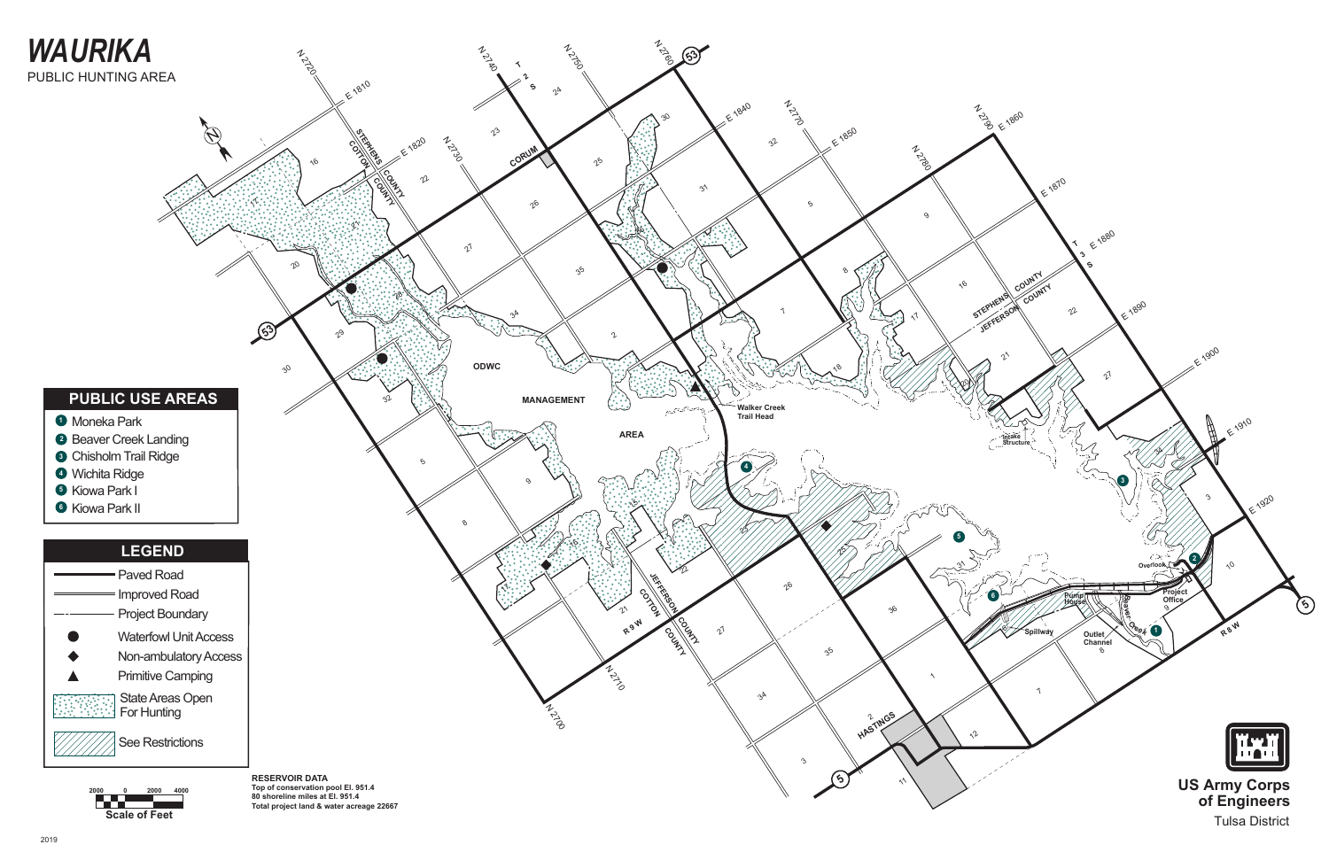